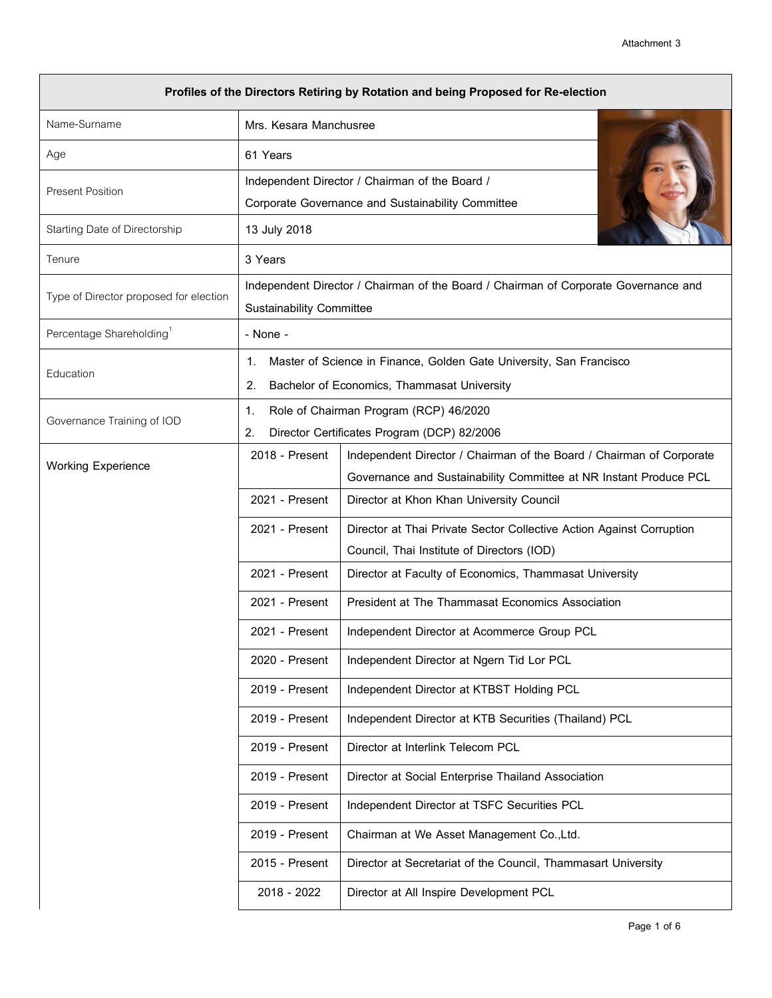| Profiles of the Directors Retiring by Rotation and being Proposed for Re-election |                                                                                                   |                                                                      |  |  |
|-----------------------------------------------------------------------------------|---------------------------------------------------------------------------------------------------|----------------------------------------------------------------------|--|--|
| Name-Surname                                                                      | Mrs. Kesara Manchusree                                                                            |                                                                      |  |  |
| Age                                                                               | 61 Years                                                                                          |                                                                      |  |  |
| <b>Present Position</b>                                                           | Independent Director / Chairman of the Board /                                                    |                                                                      |  |  |
| Starting Date of Directorship                                                     | 13 July 2018                                                                                      | Corporate Governance and Sustainability Committee                    |  |  |
| Tenure                                                                            |                                                                                                   |                                                                      |  |  |
|                                                                                   | 3 Years<br>Independent Director / Chairman of the Board / Chairman of Corporate Governance and    |                                                                      |  |  |
| Type of Director proposed for election                                            | <b>Sustainability Committee</b>                                                                   |                                                                      |  |  |
| Percentage Shareholding <sup>1</sup>                                              | - None -                                                                                          |                                                                      |  |  |
| Education                                                                         | Master of Science in Finance, Golden Gate University, San Francisco<br>1.                         |                                                                      |  |  |
|                                                                                   | Bachelor of Economics, Thammasat University<br>2.                                                 |                                                                      |  |  |
| Governance Training of IOD                                                        | Role of Chairman Program (RCP) 46/2020<br>1.<br>Director Certificates Program (DCP) 82/2006<br>2. |                                                                      |  |  |
|                                                                                   | 2018 - Present                                                                                    | Independent Director / Chairman of the Board / Chairman of Corporate |  |  |
| <b>Working Experience</b>                                                         |                                                                                                   | Governance and Sustainability Committee at NR Instant Produce PCL    |  |  |
|                                                                                   | 2021 - Present                                                                                    | Director at Khon Khan University Council                             |  |  |
|                                                                                   | 2021 - Present                                                                                    | Director at Thai Private Sector Collective Action Against Corruption |  |  |
|                                                                                   |                                                                                                   | Council, Thai Institute of Directors (IOD)                           |  |  |
|                                                                                   | 2021 - Present                                                                                    | Director at Faculty of Economics, Thammasat University               |  |  |
|                                                                                   | 2021 - Present                                                                                    | <b>President at The Thammasat Economics Association</b>              |  |  |
|                                                                                   | 2021 - Present                                                                                    | Independent Director at Acommerce Group PCL                          |  |  |
|                                                                                   | 2020 - Present                                                                                    | Independent Director at Ngern Tid Lor PCL                            |  |  |
|                                                                                   | 2019 - Present                                                                                    | Independent Director at KTBST Holding PCL                            |  |  |
|                                                                                   | 2019 - Present                                                                                    | Independent Director at KTB Securities (Thailand) PCL                |  |  |
|                                                                                   | 2019 - Present                                                                                    | Director at Interlink Telecom PCL                                    |  |  |
|                                                                                   | 2019 - Present                                                                                    | Director at Social Enterprise Thailand Association                   |  |  |
|                                                                                   | 2019 - Present                                                                                    | Independent Director at TSFC Securities PCL                          |  |  |
|                                                                                   | 2019 - Present                                                                                    | Chairman at We Asset Management Co., Ltd.                            |  |  |
|                                                                                   | 2015 - Present                                                                                    | Director at Secretariat of the Council, Thammasart University        |  |  |
|                                                                                   | 2018 - 2022                                                                                       | Director at All Inspire Development PCL                              |  |  |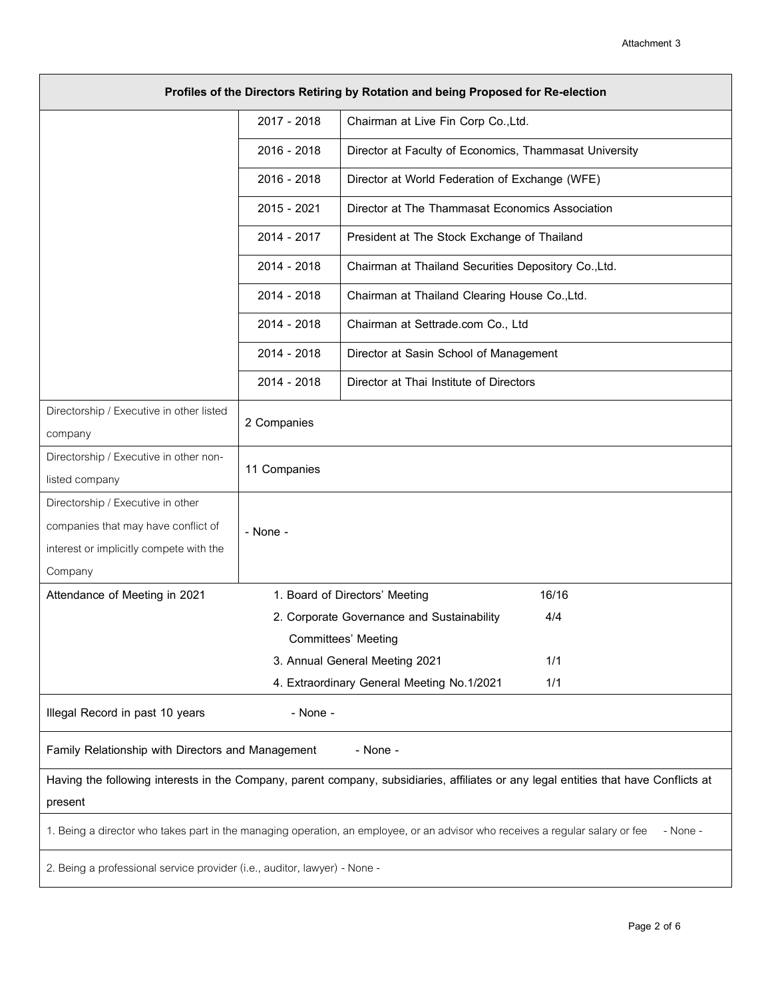| Profiles of the Directors Retiring by Rotation and being Proposed for Re-election                                                         |              |                                                        |     |
|-------------------------------------------------------------------------------------------------------------------------------------------|--------------|--------------------------------------------------------|-----|
|                                                                                                                                           | 2017 - 2018  | Chairman at Live Fin Corp Co., Ltd.                    |     |
|                                                                                                                                           | 2016 - 2018  | Director at Faculty of Economics, Thammasat University |     |
|                                                                                                                                           | 2016 - 2018  | Director at World Federation of Exchange (WFE)         |     |
|                                                                                                                                           | 2015 - 2021  | Director at The Thammasat Economics Association        |     |
|                                                                                                                                           | 2014 - 2017  | President at The Stock Exchange of Thailand            |     |
|                                                                                                                                           | 2014 - 2018  | Chairman at Thailand Securities Depository Co., Ltd.   |     |
|                                                                                                                                           | 2014 - 2018  | Chairman at Thailand Clearing House Co., Ltd.          |     |
|                                                                                                                                           | 2014 - 2018  | Chairman at Settrade.com Co., Ltd                      |     |
|                                                                                                                                           | 2014 - 2018  | Director at Sasin School of Management                 |     |
|                                                                                                                                           | 2014 - 2018  | Director at Thai Institute of Directors                |     |
| Directorship / Executive in other listed                                                                                                  | 2 Companies  |                                                        |     |
| company                                                                                                                                   |              |                                                        |     |
| Directorship / Executive in other non-                                                                                                    | 11 Companies |                                                        |     |
| listed company                                                                                                                            |              |                                                        |     |
| Directorship / Executive in other                                                                                                         |              |                                                        |     |
| companies that may have conflict of                                                                                                       | - None -     |                                                        |     |
| interest or implicitly compete with the                                                                                                   |              |                                                        |     |
| Company                                                                                                                                   |              |                                                        |     |
| 16/16<br>Attendance of Meeting in 2021<br>1. Board of Directors' Meeting                                                                  |              |                                                        |     |
|                                                                                                                                           |              | 2. Corporate Governance and Sustainability             | 4/4 |
|                                                                                                                                           |              | Committees' Meeting                                    |     |
| 3. Annual General Meeting 2021                                                                                                            |              |                                                        | 1/1 |
|                                                                                                                                           |              | 4. Extraordinary General Meeting No.1/2021             | 1/1 |
| Illegal Record in past 10 years<br>- None -                                                                                               |              |                                                        |     |
| Family Relationship with Directors and Management<br>- None -                                                                             |              |                                                        |     |
| Having the following interests in the Company, parent company, subsidiaries, affiliates or any legal entities that have Conflicts at      |              |                                                        |     |
| present                                                                                                                                   |              |                                                        |     |
| 1. Being a director who takes part in the managing operation, an employee, or an advisor who receives a regular salary or fee<br>- None - |              |                                                        |     |
| 2. Being a professional service provider (i.e., auditor, lawyer) - None -                                                                 |              |                                                        |     |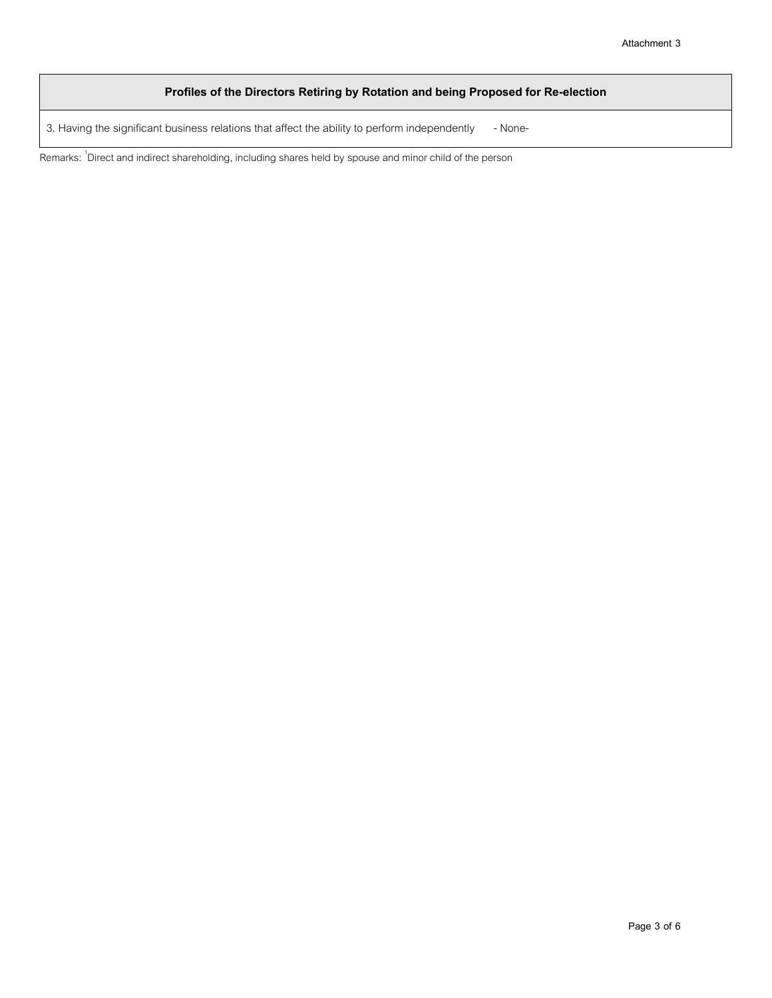## **Profiles of the Directors Retiring by Rotation and being Proposed for Re-election**

3. Having the significant business relations that affect the ability to perform independently - None-

Remarks: <sup>1</sup>Direct and indirect shareholding, including shares held by spouse and minor child of the person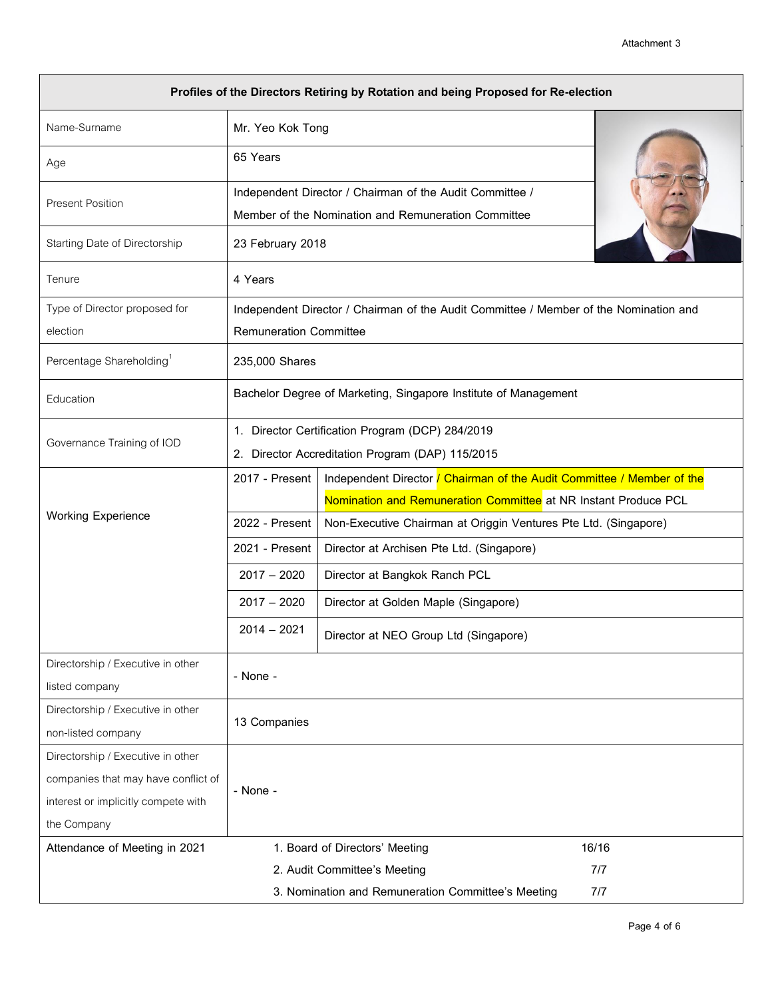| Profiles of the Directors Retiring by Rotation and being Proposed for Re-election |                                                                 |                                                                                       |  |  |
|-----------------------------------------------------------------------------------|-----------------------------------------------------------------|---------------------------------------------------------------------------------------|--|--|
| Name-Surname                                                                      | Mr. Yeo Kok Tong                                                |                                                                                       |  |  |
| Age                                                                               | 65 Years                                                        |                                                                                       |  |  |
| <b>Present Position</b>                                                           |                                                                 | Independent Director / Chairman of the Audit Committee /                              |  |  |
|                                                                                   | Member of the Nomination and Remuneration Committee             |                                                                                       |  |  |
| Starting Date of Directorship                                                     | 23 February 2018                                                |                                                                                       |  |  |
| Tenure                                                                            | 4 Years                                                         |                                                                                       |  |  |
| Type of Director proposed for                                                     |                                                                 | Independent Director / Chairman of the Audit Committee / Member of the Nomination and |  |  |
| election                                                                          | <b>Remuneration Committee</b>                                   |                                                                                       |  |  |
| Percentage Shareholding <sup>1</sup>                                              |                                                                 | 235,000 Shares                                                                        |  |  |
| Education                                                                         | Bachelor Degree of Marketing, Singapore Institute of Management |                                                                                       |  |  |
| Governance Training of IOD                                                        | 1. Director Certification Program (DCP) 284/2019                |                                                                                       |  |  |
|                                                                                   | 2. Director Accreditation Program (DAP) 115/2015                |                                                                                       |  |  |
|                                                                                   | 2017 - Present                                                  | Independent Director / Chairman of the Audit Committee / Member of the                |  |  |
| <b>Working Experience</b>                                                         |                                                                 | Nomination and Remuneration Committee at NR Instant Produce PCL                       |  |  |
|                                                                                   | 2022 - Present                                                  | Non-Executive Chairman at Origgin Ventures Pte Ltd. (Singapore)                       |  |  |
|                                                                                   | 2021 - Present                                                  | Director at Archisen Pte Ltd. (Singapore)                                             |  |  |
|                                                                                   | $2017 - 2020$                                                   | Director at Bangkok Ranch PCL                                                         |  |  |
|                                                                                   | $2017 - 2020$                                                   | Director at Golden Maple (Singapore)                                                  |  |  |
|                                                                                   | $2014 - 2021$                                                   | Director at NEO Group Ltd (Singapore)                                                 |  |  |
| Directorship / Executive in other                                                 | - None -                                                        |                                                                                       |  |  |
| listed company                                                                    |                                                                 |                                                                                       |  |  |
| Directorship / Executive in other                                                 | 13 Companies                                                    |                                                                                       |  |  |
| non-listed company                                                                |                                                                 |                                                                                       |  |  |
| Directorship / Executive in other                                                 |                                                                 |                                                                                       |  |  |
| companies that may have conflict of                                               | - None -                                                        |                                                                                       |  |  |
| interest or implicitly compete with                                               |                                                                 |                                                                                       |  |  |
| the Company                                                                       |                                                                 |                                                                                       |  |  |
| Attendance of Meeting in 2021                                                     |                                                                 | 16/16<br>1. Board of Directors' Meeting                                               |  |  |
| 7/7<br>2. Audit Committee's Meeting                                               |                                                                 |                                                                                       |  |  |
| 3. Nomination and Remuneration Committee's Meeting<br>7/7                         |                                                                 |                                                                                       |  |  |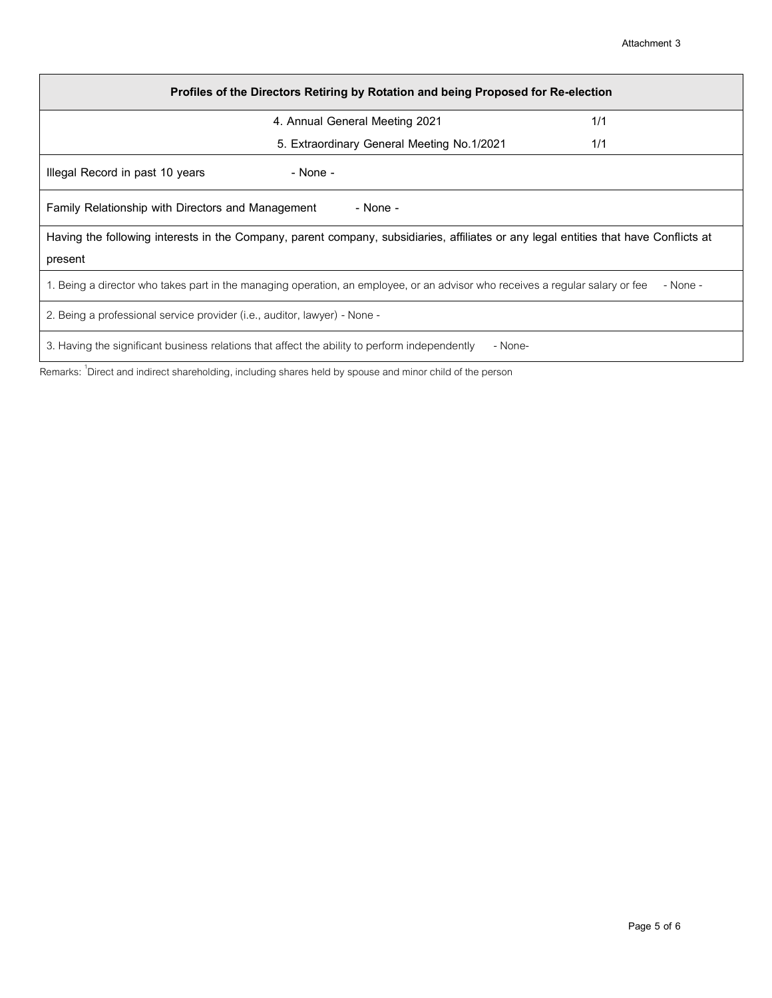| Profiles of the Directors Retiring by Rotation and being Proposed for Re-election                                                         |                                                                                            |  |  |
|-------------------------------------------------------------------------------------------------------------------------------------------|--------------------------------------------------------------------------------------------|--|--|
|                                                                                                                                           | 1/1<br>4. Annual General Meeting 2021<br>5. Extraordinary General Meeting No.1/2021<br>1/1 |  |  |
|                                                                                                                                           |                                                                                            |  |  |
| Illegal Record in past 10 years                                                                                                           | - None -                                                                                   |  |  |
| - None -<br>Family Relationship with Directors and Management                                                                             |                                                                                            |  |  |
| Having the following interests in the Company, parent company, subsidiaries, affiliates or any legal entities that have Conflicts at      |                                                                                            |  |  |
| present                                                                                                                                   |                                                                                            |  |  |
| 1. Being a director who takes part in the managing operation, an employee, or an advisor who receives a regular salary or fee<br>- None - |                                                                                            |  |  |
| 2. Being a professional service provider (i.e., auditor, lawyer) - None -                                                                 |                                                                                            |  |  |
| 3. Having the significant business relations that affect the ability to perform independently<br>- None-                                  |                                                                                            |  |  |

Remarks: <sup>1</sup>Direct and indirect shareholding, including shares held by spouse and minor child of the person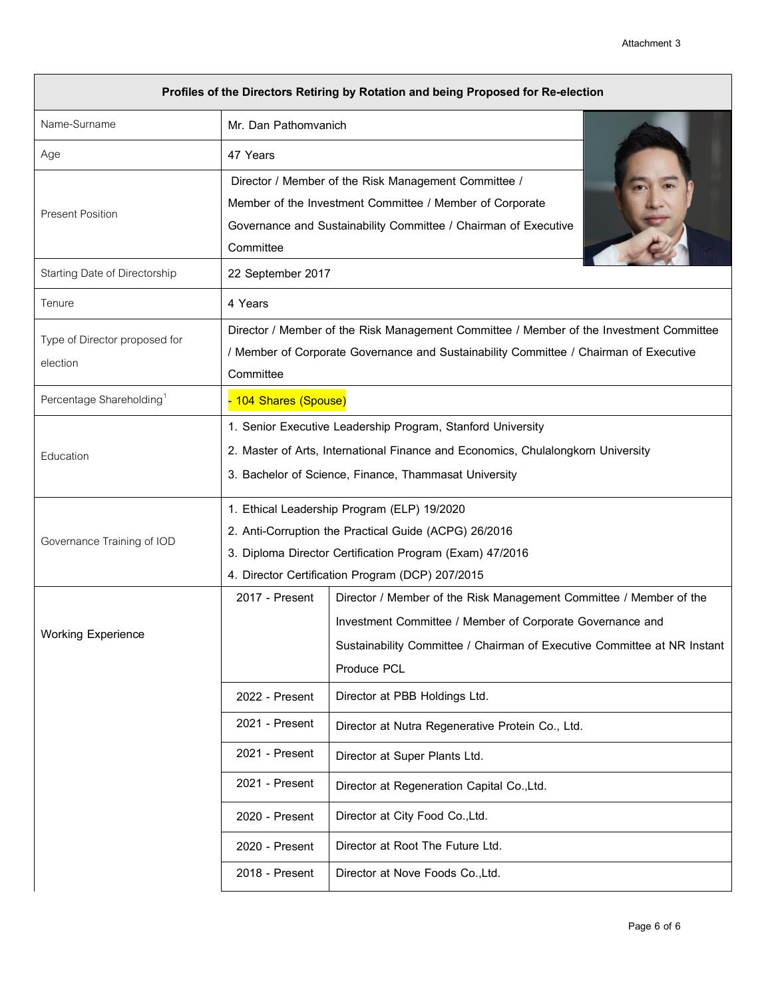| Profiles of the Directors Retiring by Rotation and being Proposed for Re-election |                                                                                         |                                                                          |  |
|-----------------------------------------------------------------------------------|-----------------------------------------------------------------------------------------|--------------------------------------------------------------------------|--|
| Name-Surname                                                                      | Mr. Dan Pathomvanich                                                                    |                                                                          |  |
| Age                                                                               | 47 Years                                                                                |                                                                          |  |
|                                                                                   | Director / Member of the Risk Management Committee /                                    |                                                                          |  |
| <b>Present Position</b>                                                           | Member of the Investment Committee / Member of Corporate                                |                                                                          |  |
|                                                                                   | Governance and Sustainability Committee / Chairman of Executive                         |                                                                          |  |
|                                                                                   | Committee                                                                               |                                                                          |  |
| Starting Date of Directorship                                                     | 22 September 2017                                                                       |                                                                          |  |
| Tenure                                                                            | 4 Years                                                                                 |                                                                          |  |
| Type of Director proposed for                                                     | Director / Member of the Risk Management Committee / Member of the Investment Committee |                                                                          |  |
| election                                                                          | / Member of Corporate Governance and Sustainability Committee / Chairman of Executive   |                                                                          |  |
|                                                                                   | Committee                                                                               |                                                                          |  |
| Percentage Shareholding <sup>1</sup>                                              | - 104 Shares (Spouse)                                                                   |                                                                          |  |
|                                                                                   | 1. Senior Executive Leadership Program, Stanford University                             |                                                                          |  |
| Education                                                                         | 2. Master of Arts, International Finance and Economics, Chulalongkorn University        |                                                                          |  |
|                                                                                   | 3. Bachelor of Science, Finance, Thammasat University                                   |                                                                          |  |
|                                                                                   | 1. Ethical Leadership Program (ELP) 19/2020                                             |                                                                          |  |
| Governance Training of IOD                                                        | 2. Anti-Corruption the Practical Guide (ACPG) 26/2016                                   |                                                                          |  |
|                                                                                   | 3. Diploma Director Certification Program (Exam) 47/2016                                |                                                                          |  |
|                                                                                   | 4. Director Certification Program (DCP) 207/2015                                        |                                                                          |  |
|                                                                                   | 2017 - Present                                                                          | Director / Member of the Risk Management Committee / Member of the       |  |
| <b>Working Experience</b>                                                         |                                                                                         | Investment Committee / Member of Corporate Governance and                |  |
|                                                                                   |                                                                                         | Sustainability Committee / Chairman of Executive Committee at NR Instant |  |
|                                                                                   |                                                                                         | Produce PCL                                                              |  |
|                                                                                   | 2022 - Present                                                                          | Director at PBB Holdings Ltd.                                            |  |
|                                                                                   | 2021 - Present                                                                          | Director at Nutra Regenerative Protein Co., Ltd.                         |  |
|                                                                                   | 2021 - Present                                                                          | Director at Super Plants Ltd.                                            |  |
|                                                                                   | 2021 - Present                                                                          | Director at Regeneration Capital Co., Ltd.                               |  |
|                                                                                   | 2020 - Present                                                                          | Director at City Food Co., Ltd.                                          |  |
|                                                                                   | 2020 - Present                                                                          | Director at Root The Future Ltd.                                         |  |
|                                                                                   | 2018 - Present                                                                          | Director at Nove Foods Co., Ltd.                                         |  |